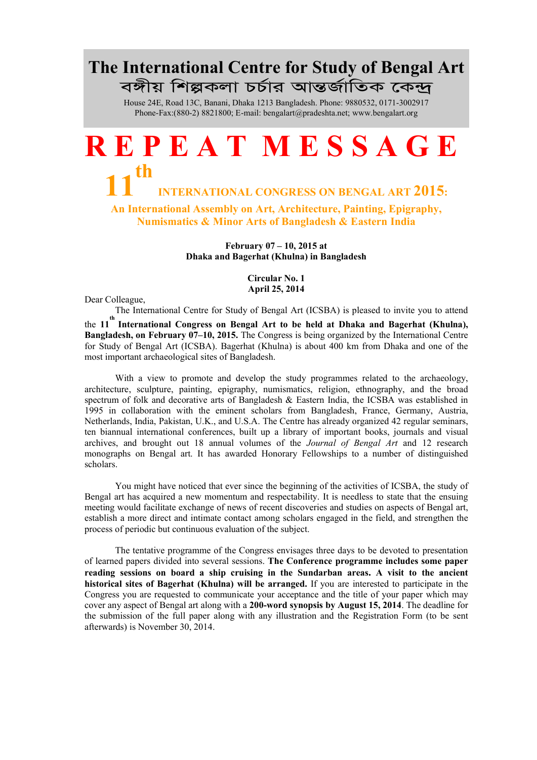## The International Centre for Study of Bengal Art বঙ্গীয় শিল্পকলা চৰ্চার আন্তর্জাতিক কেন্দ্র

House 24E, Road 13C, Banani, Dhaka 1213 Bangladesh. Phone: 9880532, 0171-3002917 Phone-Fax:(880-2) 8821800; E-m[ail: bengalart@pradeshta.net; ww](mailto:bengalart@pradeshta.net)[w.bengalart.org](http://www.bengalart.org/)

## R E P E A T M E S S A G E 11 th INTERNATIONAL CONGRESS ON BENGAL ART 2015: An International Assembly on Art, Architecture, Painting, Epigraphy, Numismatics & Minor Arts of Bangladesh & Eastern India

February 07 – 10, 2015 at Dhaka and Bagerhat (Khulna) in Bangladesh

> Circular No. 1 April 25, 2014

Dear Colleague,

The International Centre for Study of Bengal Art (ICSBA) is pleased to invite you to attend

the 11<sup>th</sup> International Congress on Bengal Art to be held at Dhaka and Bagerhat (Khulna), Bangladesh, on February 07–10, 2015. The Congress is being organized by the International Centre for Study of Bengal Art (ICSBA). Bagerhat (Khulna) is about 400 km from Dhaka and one of the most important archaeological sites of Bangladesh.

With a view to promote and develop the study programmes related to the archaeology, architecture, sculpture, painting, epigraphy, numismatics, religion, ethnography, and the broad spectrum of folk and decorative arts of Bangladesh & Eastern India, the ICSBA was established in 1995 in collaboration with the eminent scholars from Bangladesh, France, Germany, Austria, Netherlands, India, Pakistan, U.K., and U.S.A. The Centre has already organized 42 regular seminars, ten biannual international conferences, built up a library of important books, journals and visual archives, and brought out 18 annual volumes of the *Journal of Bengal Art* and 12 research monographs on Bengal art. It has awarded Honorary Fellowships to a number of distinguished scholars.

You might have noticed that ever since the beginning of the activities of ICSBA, the study of Bengal art has acquired a new momentum and respectability. It is needless to state that the ensuing meeting would facilitate exchange of news of recent discoveries and studies on aspects of Bengal art, establish a more direct and intimate contact among scholars engaged in the field, and strengthen the process of periodic but continuous evaluation of the subject.

The tentative programme of the Congress envisages three days to be devoted to presentation of learned papers divided into several sessions. The Conference programme includes some paper reading sessions on board a ship cruising in the Sundarban areas. A visit to the ancient historical sites of Bagerhat (Khulna) will be arranged. If you are interested to participate in the Congress you are requested to communicate your acceptance and the title of your paper which may cover any aspect of Bengal art along with a 200-word synopsis by August 15, 2014. The deadline for the submission of the full paper along with any illustration and the Registration Form (to be sent afterwards) is November 30, 2014.